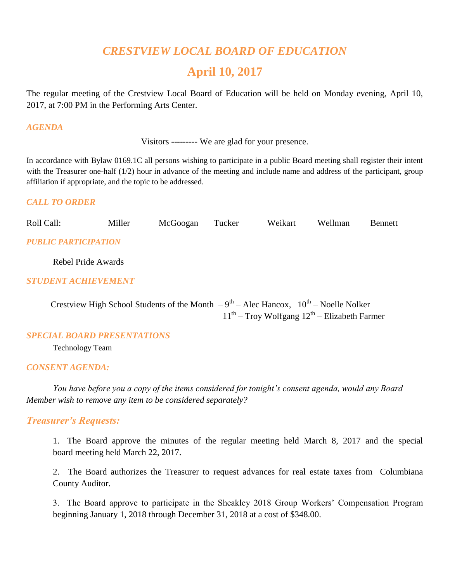# *CRESTVIEW LOCAL BOARD OF EDUCATION*

# **April 10, 2017**

The regular meeting of the Crestview Local Board of Education will be held on Monday evening, April 10, 2017, at 7:00 PM in the Performing Arts Center.

#### *AGENDA*

Visitors --------- We are glad for your presence.

In accordance with Bylaw 0169.1C all persons wishing to participate in a public Board meeting shall register their intent with the Treasurer one-half (1/2) hour in advance of the meeting and include name and address of the participant, group affiliation if appropriate, and the topic to be addressed.

#### *CALL TO ORDER*

| Roll Call: | Miller | McGoogan Tucker | Weikart Wellman | Bennett |
|------------|--------|-----------------|-----------------|---------|
|            |        |                 |                 |         |

### *PUBLIC PARTICIPATION*

Rebel Pride Awards

#### *STUDENT ACHIEVEMENT*

Crestview High School Students of the Month  $-9^{th}$  – Alec Hancox,  $10^{th}$  – Noelle Nolker 11<sup>th</sup> – Troy Wolfgang 12<sup>th</sup> – Elizabeth Farmer

#### *SPECIAL BOARD PRESENTATIONS*

Technology Team

#### *CONSENT AGENDA:*

*You have before you a copy of the items considered for tonight's consent agenda, would any Board Member wish to remove any item to be considered separately?*

#### *Treasurer's Requests:*

1. The Board approve the minutes of the regular meeting held March 8, 2017 and the special board meeting held March 22, 2017.

2. The Board authorizes the Treasurer to request advances for real estate taxes from Columbiana County Auditor.

3. The Board approve to participate in the Sheakley 2018 Group Workers' Compensation Program beginning January 1, 2018 through December 31, 2018 at a cost of \$348.00.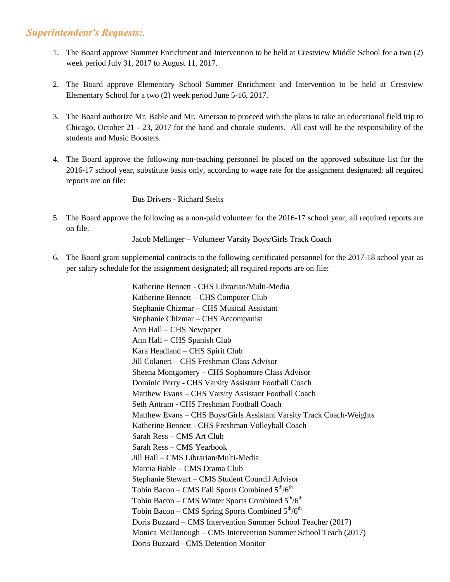# *Superintendent's Requests:*.

- 1. The Board approve Summer Enrichment and Intervention to be held at Crestview Middle School for a two (2) week period July 31, 2017 to August 11, 2017.
- 2. The Board approve Elementary School Summer Enrichment and Intervention to be held at Crestview Elementary School for a two (2) week period June 5-16, 2017.
- 3. The Board authorize Mr. Bable and Mr. Amerson to proceed with the plans to take an educational field trip to Chicago, October 21 - 23, 2017 for the band and chorale students. All cost will be the responsibility of the students and Music Boosters.
- 4. The Board approve the following non-teaching personnel be placed on the approved substitute list for the 2016-17 school year, substitute basis only, according to wage rate for the assignment designated; all required reports are on file:

Bus Drivers - Richard Stelts

5. The Board approve the following as a non-paid volunteer for the 2016-17 school year; all required reports are on file.

Jacob Mellinger – Volunteer Varsity Boys/Girls Track Coach

6. The Board grant supplemental contracts to the following certificated personnel for the 2017-18 school year as per salary schedule for the assignment designated; all required reports are on file:

> Katherine Bennett - CHS Librarian/Multi-Media Katherine Bennett – CHS Computer Club Stephanie Chizmar – CHS Musical Assistant Stephanie Chizmar – CHS Accompanist Ann Hall – CHS Newpaper Ann Hall – CHS Spanish Club Kara Headland – CHS Spirit Club Jill Colaneri – CHS Freshman Class Advisor Sheena Montgomery – CHS Sophomore Class Advisor Dominic Perry - CHS Varsity Assistant Football Coach Matthew Evans – CHS Varsity Assistant Football Coach Seth Antram - CHS Freshman Football Coach Matthew Evans – CHS Boys/Girls Assistant Varsity Track Coach-Weights Katherine Bennett - CHS Freshman Volleyball Coach Sarah Ress – CMS Art Club Sarah Ress – CMS Yearbook Jill Hall – CMS Librarian/Multi-Media Marcia Bable – CMS Drama Club Stephanie Stewart – CMS Student Council Advisor Tobin Bacon – CMS Fall Sports Combined  $5<sup>th</sup>/6<sup>th</sup>$ Tobin Bacon – CMS Winter Sports Combined  $5<sup>th</sup>/6<sup>th</sup>$ Tobin Bacon – CMS Spring Sports Combined  $5<sup>th</sup>/6<sup>th</sup>$  Doris Buzzard – CMS Intervention Summer School Teacher (2017) Monica McDonough – CMS Intervention Summer School Teach (2017) Doris Buzzard - CMS Detention Monitor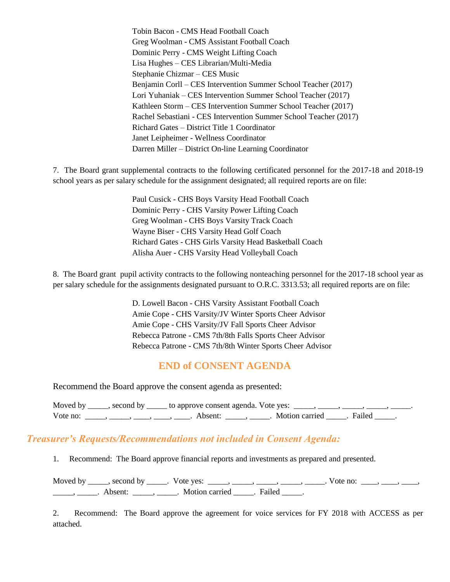Tobin Bacon - CMS Head Football Coach Greg Woolman - CMS Assistant Football Coach Dominic Perry - CMS Weight Lifting Coach Lisa Hughes – CES Librarian/Multi-Media Stephanie Chizmar – CES Music Benjamin Corll – CES Intervention Summer School Teacher (2017) Lori Yuhaniak – CES Intervention Summer School Teacher (2017) Kathleen Storm – CES Intervention Summer School Teacher (2017) Rachel Sebastiani - CES Intervention Summer School Teacher (2017) Richard Gates – District Title 1 Coordinator Janet Leipheimer - Wellness Coordinator Darren Miller – District On-line Learning Coordinator

7. The Board grant supplemental contracts to the following certificated personnel for the 2017-18 and 2018-19 school years as per salary schedule for the assignment designated; all required reports are on file:

> Paul Cusick - CHS Boys Varsity Head Football Coach Dominic Perry - CHS Varsity Power Lifting Coach Greg Woolman - CHS Boys Varsity Track Coach Wayne Biser - CHS Varsity Head Golf Coach Richard Gates - CHS Girls Varsity Head Basketball Coach Alisha Auer - CHS Varsity Head Volleyball Coach

8. The Board grant pupil activity contracts to the following nonteaching personnel for the 2017-18 school year as per salary schedule for the assignments designated pursuant to O.R.C. 3313.53; all required reports are on file:

> D. Lowell Bacon - CHS Varsity Assistant Football Coach Amie Cope - CHS Varsity/JV Winter Sports Cheer Advisor Amie Cope - CHS Varsity/JV Fall Sports Cheer Advisor Rebecca Patrone - CMS 7th/8th Falls Sports Cheer Advisor Rebecca Patrone - CMS 7th/8th Winter Sports Cheer Advisor

# **END of CONSENT AGENDA**

Recommend the Board approve the consent agenda as presented:

Moved by  $\_\_\_\_\$ second by  $\_\_\_\_\$ to approve consent agenda. Vote yes:  $\_\_\_\_\_\_\_\_\_\_\_\_\_$ Vote no: \_\_\_\_\_, \_\_\_\_, \_\_\_\_, \_\_\_\_, \_\_\_\_. Absent: \_\_\_\_\_, \_\_\_\_\_. Motion carried \_\_\_\_\_. Failed \_\_\_\_\_.

#### *Treasurer's Requests/Recommendations not included in Consent Agenda:*

1. Recommend: The Board approve financial reports and investments as prepared and presented.

Moved by \_\_\_\_, second by \_\_\_\_\_. Vote yes: \_\_\_\_\_, \_\_\_\_\_, \_\_\_\_, \_\_\_\_, \_\_\_\_. Vote no: \_\_\_\_, \_\_\_\_, \_\_\_\_, \_\_\_\_\_\_, \_\_\_\_\_\_. Absent: \_\_\_\_\_\_, \_\_\_\_\_\_. Motion carried \_\_\_\_\_. Failed \_\_\_\_\_.

2. Recommend: The Board approve the agreement for voice services for FY 2018 with ACCESS as per attached.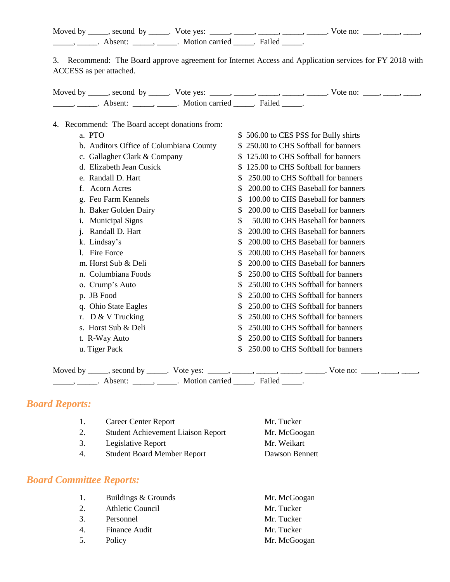Moved by \_\_\_\_\_, second by \_\_\_\_\_. Vote yes: \_\_\_\_\_, \_\_\_\_\_, \_\_\_\_\_, \_\_\_\_\_, \_\_\_\_\_, Vote no: \_\_\_\_, \_\_\_\_, \_\_\_\_, \_\_\_\_\_\_, \_\_\_\_\_\_. Absent: \_\_\_\_\_\_, \_\_\_\_\_. Motion carried \_\_\_\_\_. Failed \_\_\_\_\_.

3. Recommend: The Board approve agreement for Internet Access and Application services for FY 2018 with ACCESS as per attached.

Moved by \_\_\_\_, second by \_\_\_\_\_. Vote yes: \_\_\_\_\_, \_\_\_\_\_, \_\_\_\_\_, \_\_\_\_\_, \_\_\_\_. Vote no: \_\_\_\_, \_\_\_\_, \_\_\_\_, \_\_\_\_\_\_\_, \_\_\_\_\_\_. Absent: \_\_\_\_\_\_, \_\_\_\_\_. Motion carried \_\_\_\_\_. Failed \_\_\_\_\_.

#### 4. Recommend: The Board accept donations from:

a. PTO  $\$$  506.00 to CES PSS for Bully shirts b. Auditors Office of Columbiana County  $$ 250.00$  to CHS Softball for banners c. Gallagher Clark & Company  $$ 125.00$  to CHS Softball for banners d. Elizabeth Jean Cusick \$ 125.00 to CHS Softball for banners e. Randall D. Hart  $$ 250.00$  to CHS Softball for banners f. Acorn Acres \$ 200.00 to CHS Baseball for banners g. Feo Farm Kennels  $\qquad \qquad \bullet$  100.00 to CHS Baseball for banners h. Baker Golden Dairy \$ 200.00 to CHS Baseball for banners i. Municipal Signs  $\qquad$   $\qquad$   $\qquad$   $\qquad$  50.00 to CHS Baseball for banners j. Randall D. Hart  $$ 200.00$  to CHS Baseball for banners k. Lindsay's  $\qquad$   $\qquad$   $\qquad$   $\qquad$   $\qquad$   $\qquad$   $\qquad$   $\qquad$   $\qquad$   $\qquad$   $\qquad$   $\qquad$   $\qquad$   $\qquad$   $\qquad$   $\qquad$   $\qquad$   $\qquad$   $\qquad$   $\qquad$   $\qquad$   $\qquad$   $\qquad$   $\qquad$   $\qquad$   $\qquad$   $\qquad$   $\qquad$   $\qquad$   $\qquad$   $\qquad$   $\qquad$   $\qquad$   $\qquad$   $\qquad$ 1. Fire Force  $\qquad \qquad$  \$ 200.00 to CHS Baseball for banners m. Horst Sub & Deli  $$ 200.00$  to CHS Baseball for banners n. Columbiana Foods  $$ 250.00$  to CHS Softball for banners o. Crump's Auto  $\$$  250.00 to CHS Softball for banners p. JB Food  $\qquad$   $\qquad$   $\qquad$   $\qquad$   $\qquad$   $\qquad$   $\qquad$   $\qquad$   $\qquad$   $\qquad$   $\qquad$   $\qquad$   $\qquad$   $\qquad$   $\qquad$   $\qquad$   $\qquad$   $\qquad$   $\qquad$   $\qquad$   $\qquad$   $\qquad$   $\qquad$   $\qquad$   $\qquad$   $\qquad$   $\qquad$   $\qquad$   $\qquad$   $\qquad$   $\qquad$   $\qquad$   $\qquad$   $\qquad$   $\qquad$  q. Ohio State Eagles \$ 250.00 to CHS Softball for banners r.  $D \& V$  Trucking  $\qquad$   $\qquad$   $\qquad$   $\qquad$   $\qquad$   $\qquad$   $\qquad$   $\qquad$   $\qquad$   $\qquad$   $\qquad$   $\qquad$   $\qquad$   $\qquad$   $\qquad$   $\qquad$   $\qquad$   $\qquad$   $\qquad$   $\qquad$   $\qquad$   $\qquad$   $\qquad$   $\qquad$   $\qquad$   $\qquad$   $\qquad$   $\qquad$   $\qquad$   $\qquad$   $\qquad$   $\qquad$   $\qquad$   $\qquad$ s. Horst Sub & Deli  $$ 250.00$  to CHS Softball for banners t. R-Way Auto  $$ 250.00$  to CHS Softball for banners u. Tiger Pack  $\qquad$   $\qquad$   $\qquad$   $\qquad$   $\qquad$   $\qquad$   $\qquad$   $\qquad$   $\qquad$   $\qquad$   $\qquad$   $\qquad$   $\qquad$   $\qquad$   $\qquad$   $\qquad$   $\qquad$   $\qquad$   $\qquad$   $\qquad$   $\qquad$   $\qquad$   $\qquad$   $\qquad$   $\qquad$   $\qquad$   $\qquad$   $\qquad$   $\qquad$   $\qquad$   $\qquad$   $\qquad$   $\qquad$   $\qquad$   $\qquad$ 

Moved by \_\_\_\_, second by \_\_\_\_\_. Vote yes: \_\_\_\_\_, \_\_\_\_\_, \_\_\_\_\_, \_\_\_\_\_, \_\_\_\_\_. Vote no: \_\_\_\_, \_\_\_\_, \_\_\_\_,  $\frac{1}{\sqrt{1-\frac{1}{2}}}\frac{1}{\sqrt{1-\frac{1}{2}}}\frac{1}{\sqrt{1-\frac{1}{2}}}\frac{1}{\sqrt{1-\frac{1}{2}}}\frac{1}{\sqrt{1-\frac{1}{2}}}\frac{1}{\sqrt{1-\frac{1}{2}}}\frac{1}{\sqrt{1-\frac{1}{2}}}\frac{1}{\sqrt{1-\frac{1}{2}}}\frac{1}{\sqrt{1-\frac{1}{2}}}\frac{1}{\sqrt{1-\frac{1}{2}}}\frac{1}{\sqrt{1-\frac{1}{2}}}\frac{1}{\sqrt{1-\frac{1}{2}}}\frac{1}{\sqrt{1-\frac{1}{2}}}\frac{1}{\sqrt{1-\frac{$ 

#### *Board Reports:*

|    | Career Center Report                      | Mr. Tucker     |
|----|-------------------------------------------|----------------|
|    | <b>Student Achievement Liaison Report</b> | Mr. McGoogan   |
| 3. | Legislative Report                        | Mr. Weikart    |
|    | <b>Student Board Member Report</b>        | Dawson Bennett |
|    |                                           |                |

#### *Board Committee Reports:*

| 1.11 | Buildings & Grounds | Mr. McGoogan |
|------|---------------------|--------------|
| 2.   | Athletic Council    | Mr. Tucker   |
| 3.   | Personnel           | Mr. Tucker   |
| 4.   | Finance Audit       | Mr. Tucker   |
| 5.   | Policy              | Mr. McGoogan |
|      |                     |              |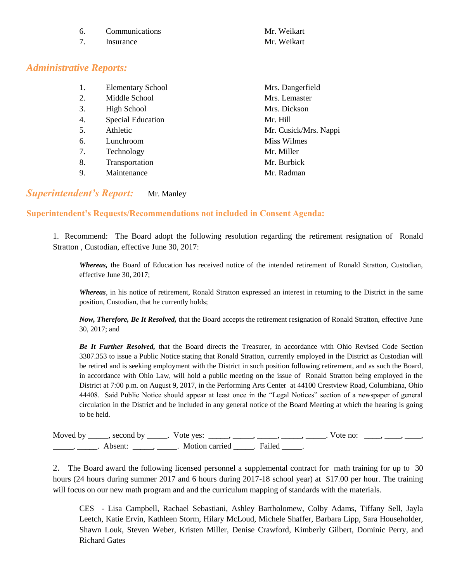| Communications | Mr. Weikart |
|----------------|-------------|
| Insurance      | Mr. Weikart |

# *Administrative Reports:*

| Middle School<br>2.                        | Mrs. Lemaster         |
|--------------------------------------------|-----------------------|
| 3.<br>High School                          | Mrs. Dickson          |
| <b>Special Education</b><br>Mr. Hill<br>4. |                       |
| Athletic<br>5.                             | Mr. Cusick/Mrs. Nappi |
| Lunchroom<br>6.                            | Miss Wilmes           |
| 7.<br>Technology<br>Mr. Miller             |                       |
| Transportation<br>8.                       | Mr. Burbick           |
| Maintenance<br>9.                          | Mr. Radman            |

### *Superintendent's Report:* Mr. Manley

#### **Superintendent's Requests/Recommendations not included in Consent Agenda:**

1. Recommend: The Board adopt the following resolution regarding the retirement resignation of Ronald Stratton , Custodian, effective June 30, 2017:

*Whereas,* the Board of Education has received notice of the intended retirement of Ronald Stratton, Custodian, effective June 30, 2017;

*Whereas*, in his notice of retirement, Ronald Stratton expressed an interest in returning to the District in the same position, Custodian, that he currently holds;

*Now, Therefore, Be It Resolved,* that the Board accepts the retirement resignation of Ronald Stratton, effective June 30, 2017; and

*Be It Further Resolved,* that the Board directs the Treasurer, in accordance with Ohio Revised Code Section 3307.353 to issue a Public Notice stating that Ronald Stratton, currently employed in the District as Custodian will be retired and is seeking employment with the District in such position following retirement, and as such the Board, in accordance with Ohio Law, will hold a public meeting on the issue of Ronald Stratton being employed in the District at 7:00 p.m. on August 9, 2017, in the Performing Arts Center at 44100 Crestview Road, Columbiana, Ohio 44408. Said Public Notice should appear at least once in the "Legal Notices" section of a newspaper of general circulation in the District and be included in any general notice of the Board Meeting at which the hearing is going to be held.

|         | Moved by _____, second by _____. Vote yes: _____, _____, _____, _____, | Vote no: |  |
|---------|------------------------------------------------------------------------|----------|--|
| Absent: | . Motion carried . Failed                                              |          |  |

2. The Board award the following licensed personnel a supplemental contract for math training for up to 30 hours (24 hours during summer 2017 and 6 hours during 2017-18 school year) at \$17.00 per hour. The training will focus on our new math program and and the curriculum mapping of standards with the materials.

CES - Lisa Campbell, Rachael Sebastiani, Ashley Bartholomew, Colby Adams, Tiffany Sell, Jayla Leetch, Katie Ervin, Kathleen Storm, Hilary McLoud, Michele Shaffer, Barbara Lipp, Sara Householder, Shawn Louk, Steven Weber, Kristen Miller, Denise Crawford, Kimberly Gilbert, Dominic Perry, and Richard Gates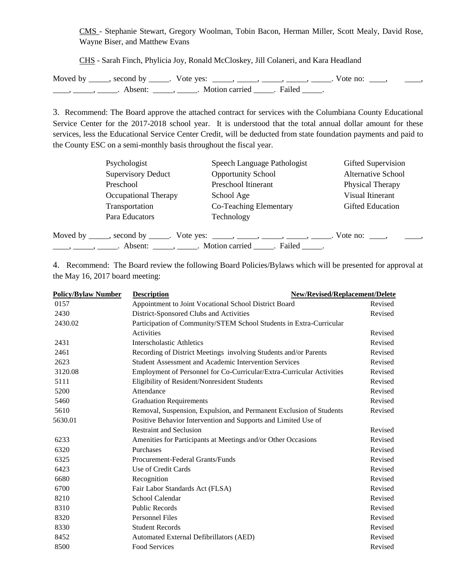CMS - Stephanie Stewart, Gregory Woolman, Tobin Bacon, Herman Miller, Scott Mealy, David Rose, Wayne Biser, and Matthew Evans

CHS - Sarah Finch, Phylicia Joy, Ronald McCloskey, Jill Colaneri, and Kara Headland

Moved by \_\_\_\_\_, second by \_\_\_\_\_. Vote yes: \_\_\_\_\_, \_\_\_\_\_, \_\_\_\_\_, \_\_\_\_\_, \_\_\_\_\_. Vote no: \_\_\_\_, \_\_\_\_\_\_, \_\_\_\_\_, \_\_\_\_\_, Absent: \_\_\_\_\_, \_\_\_\_\_. Motion carried \_\_\_\_\_. Failed \_\_\_\_.

3. Recommend: The Board approve the attached contract for services with the Columbiana County Educational Service Center for the 2017-2018 school year. It is understood that the total annual dollar amount for these services, less the Educational Service Center Credit, will be deducted from state foundation payments and paid to the County ESC on a semi-monthly basis throughout the fiscal year.

|                                                                                                                                                                                                                                                                                                                                                                                                                       | Psychologist                                  | Speech Language Pathologist                                                    | Gifted Supervision         |
|-----------------------------------------------------------------------------------------------------------------------------------------------------------------------------------------------------------------------------------------------------------------------------------------------------------------------------------------------------------------------------------------------------------------------|-----------------------------------------------|--------------------------------------------------------------------------------|----------------------------|
|                                                                                                                                                                                                                                                                                                                                                                                                                       | <b>Supervisory Deduct</b>                     | <b>Opportunity School</b>                                                      | <b>Alternative School</b>  |
|                                                                                                                                                                                                                                                                                                                                                                                                                       | Preschool                                     | Preschool Itinerant                                                            | Physical Therapy           |
|                                                                                                                                                                                                                                                                                                                                                                                                                       | Occupational Therapy                          | School Age                                                                     | Visual Itinerant           |
|                                                                                                                                                                                                                                                                                                                                                                                                                       | Transportation                                | Co-Teaching Elementary                                                         | <b>Gifted Education</b>    |
|                                                                                                                                                                                                                                                                                                                                                                                                                       | Para Educators                                | Technology                                                                     |                            |
|                                                                                                                                                                                                                                                                                                                                                                                                                       |                                               | Moved by _____, second by _____. Vote yes: _____, _____, _____, _____, ______. | Vote no: $\qquad \qquad$ , |
| $\frac{1}{1-\frac{1}{1-\frac{1}{1-\frac{1}{1-\frac{1}{1-\frac{1}{1-\frac{1}{1-\frac{1}{1-\frac{1}{1-\frac{1}{1-\frac{1}{1-\frac{1}{1-\frac{1}{1-\frac{1}{1-\frac{1}{1-\frac{1}{1-\frac{1}{1-\frac{1}{1-\frac{1}{1-\frac{1}{1-\frac{1}{1-\frac{1}{1-\frac{1}{1-\frac{1}{1-\frac{1}{1-\frac{1}{1-\frac{1}{1-\frac{1}{1-\frac{1}{1-\frac{1}{1-\frac{1}{1-\frac{1}{1-\frac{1}{1-\frac{1}{1-\frac{1}{1-\frac{1}{1-\frac{1$ | Absent: ______, ______. Motion carried ______ | . Failed                                                                       |                            |

4. Recommend: The Board review the following Board Policies/Bylaws which will be presented for approval at the May 16, 2017 board meeting:

| <b>Policy/Bylaw Number</b> | <b>Description</b>                                                    | New/Revised/Replacement/Delete |
|----------------------------|-----------------------------------------------------------------------|--------------------------------|
| 0157                       | Appointment to Joint Vocational School District Board                 | Revised                        |
| 2430                       | District-Sponsored Clubs and Activities                               | Revised                        |
| 2430.02                    | Participation of Community/STEM School Students in Extra-Curricular   |                                |
|                            | Activities                                                            | Revised                        |
| 2431                       | Interscholastic Athletics                                             | Revised                        |
| 2461                       | Recording of District Meetings involving Students and/or Parents      | Revised                        |
| 2623                       | <b>Student Assessment and Academic Intervention Services</b>          | Revised                        |
| 3120.08                    | Employment of Personnel for Co-Curricular/Extra-Curricular Activities | Revised                        |
| 5111                       | Eligibility of Resident/Nonresident Students                          | Revised                        |
| 5200                       | Attendance                                                            | Revised                        |
| 5460                       | <b>Graduation Requirements</b>                                        | Revised                        |
| 5610                       | Removal, Suspension, Expulsion, and Permanent Exclusion of Students   | Revised                        |
| 5630.01                    | Positive Behavior Intervention and Supports and Limited Use of        |                                |
|                            | <b>Restraint and Seclusion</b>                                        | Revised                        |
| 6233                       | Amenities for Participants at Meetings and/or Other Occasions         | Revised                        |
| 6320                       | Purchases                                                             | Revised                        |
| 6325                       | Procurement-Federal Grants/Funds                                      | Revised                        |
| 6423                       | Use of Credit Cards                                                   | Revised                        |
| 6680                       | Recognition                                                           | Revised                        |
| 6700                       | Fair Labor Standards Act (FLSA)                                       | Revised                        |
| 8210                       | School Calendar                                                       | Revised                        |
| 8310                       | <b>Public Records</b>                                                 | Revised                        |
| 8320                       | <b>Personnel Files</b>                                                | Revised                        |
| 8330                       | <b>Student Records</b>                                                | Revised                        |
| 8452                       | Automated External Defibrillators (AED)                               | Revised                        |
| 8500                       | <b>Food Services</b>                                                  | Revised                        |